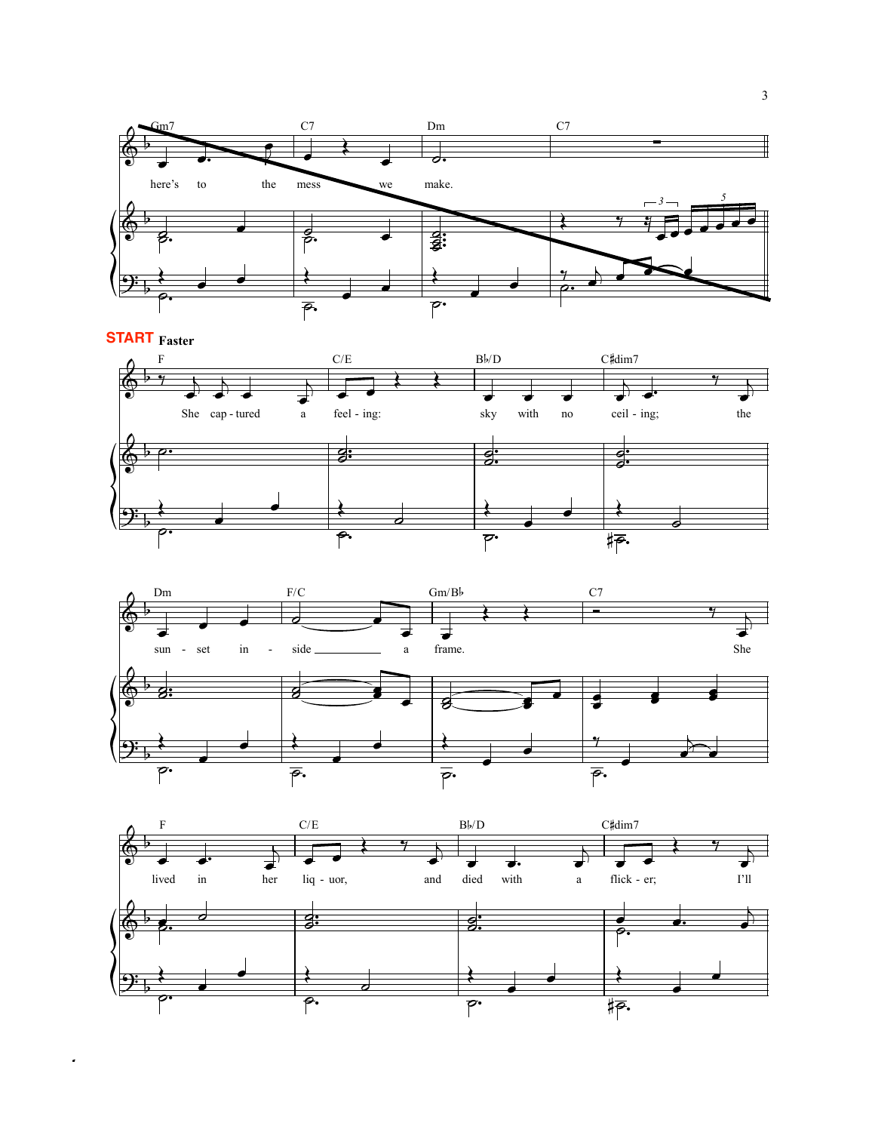

**START** Faster  $\rm C/E$  $\mathrm{B}\flat/\mathrm{D}$ C#dim7 F  $\begin{array}{ccc} \text{She} & \text{cap-tured} & \text{a} \end{array}$ feel - ing: sky with no ceil - ing; the <u>g:</u>  $\frac{d}{2}$ :  $\overline{\mathcal{G}}$ :  $\overline{\overline{\mathbb{F}}\cdot}$ Ō.





! musicnotes.com Compliments of *musicnotes.com*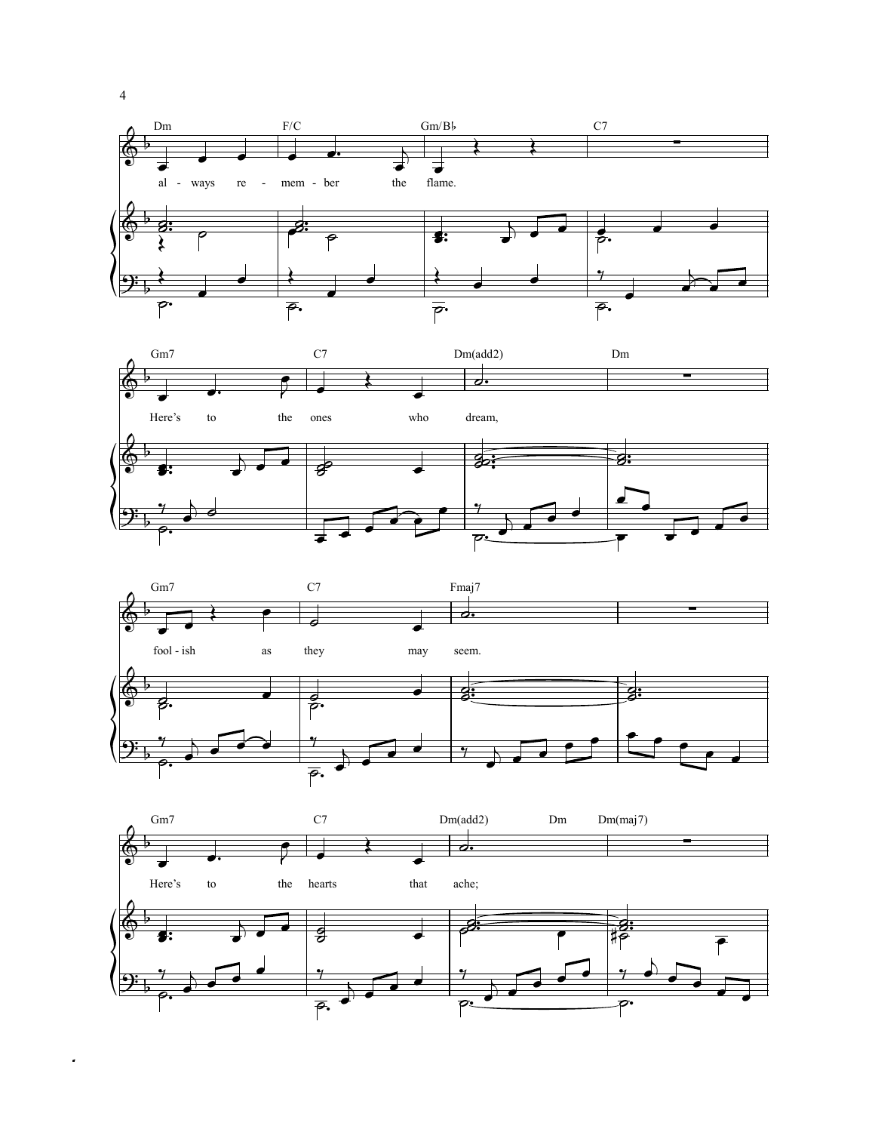







4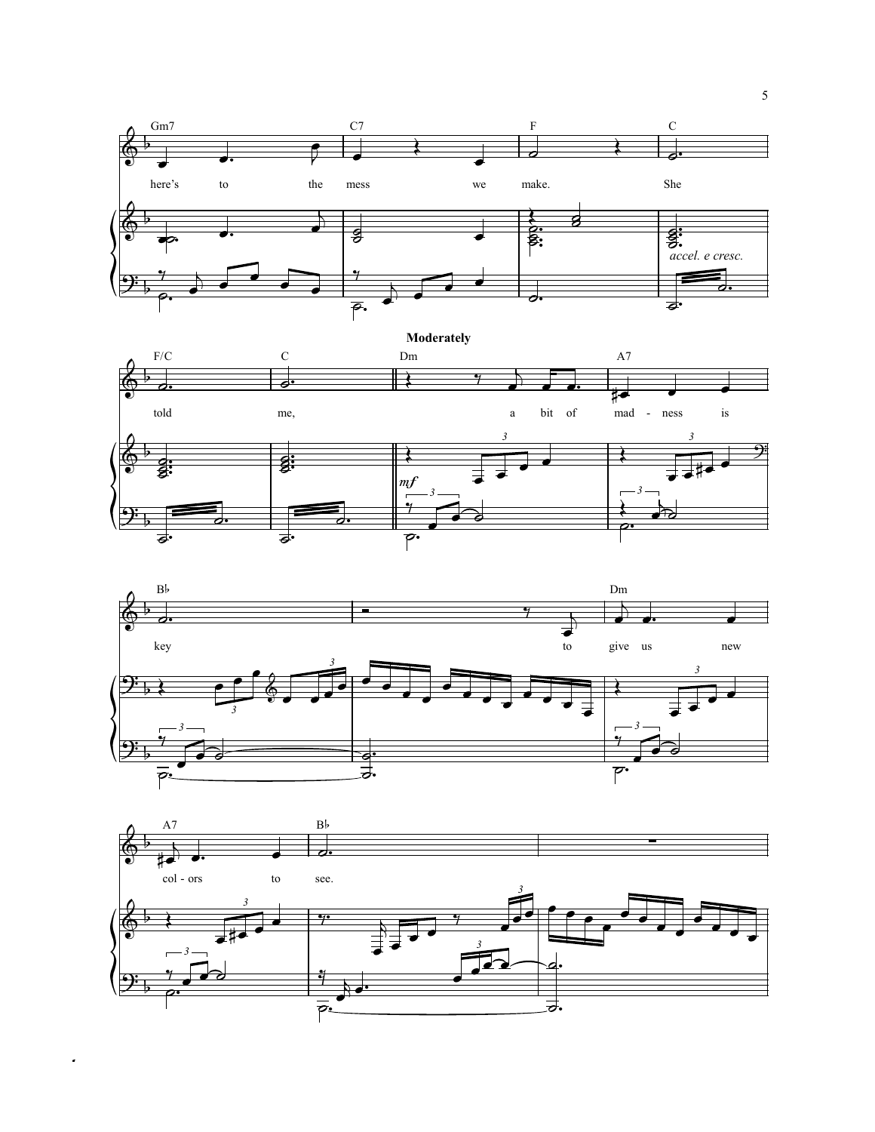





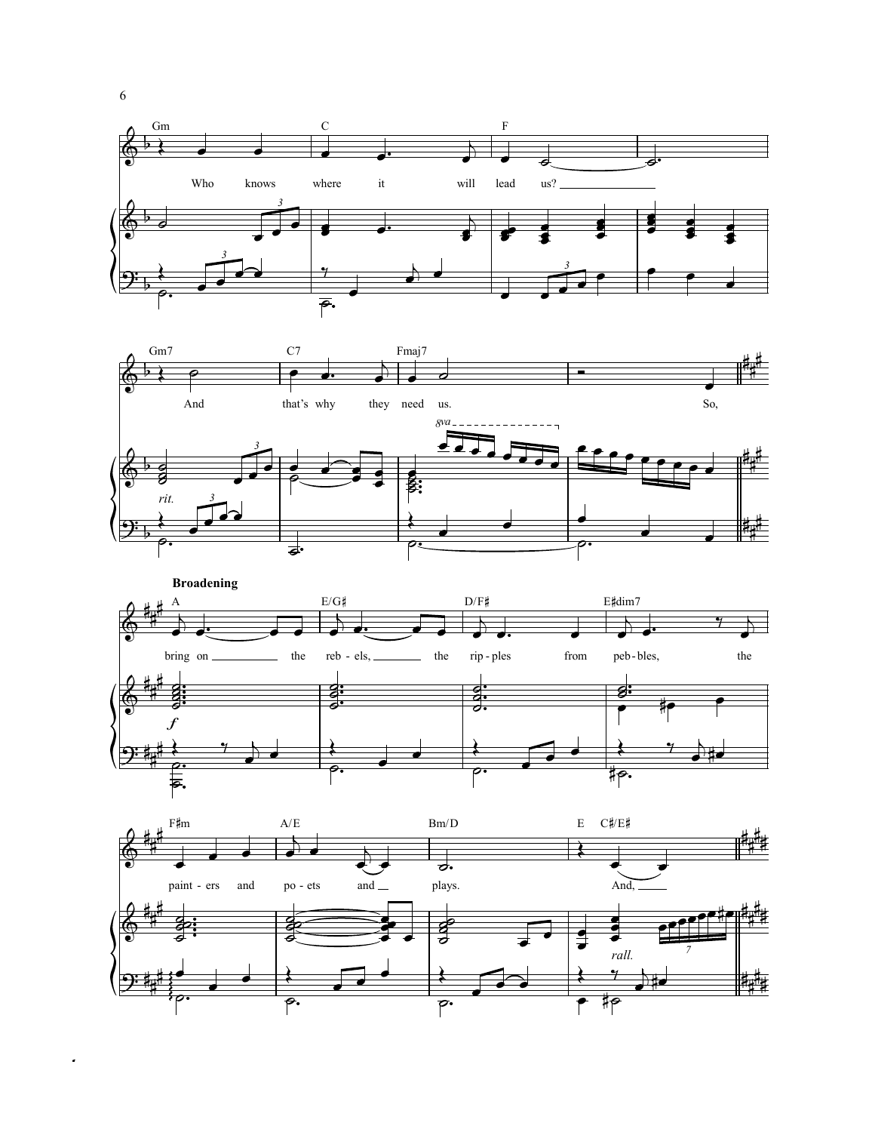







6